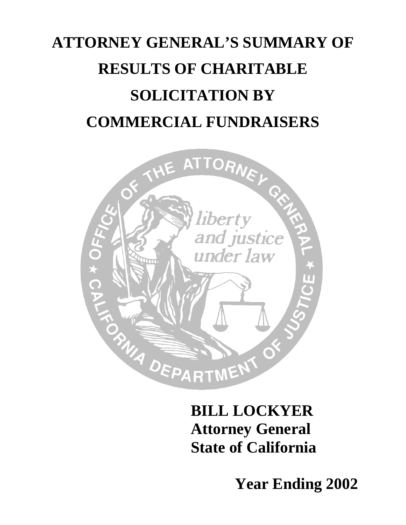# **ATTORNEY GENERAL'S SUMMARY OF RESULTS OF CHARITABLE SOLICITATION BY COMMERCIAL FUNDRAISERS**



### **BILL LOCKYER Attorney General State of California**

**Year Ending 2002**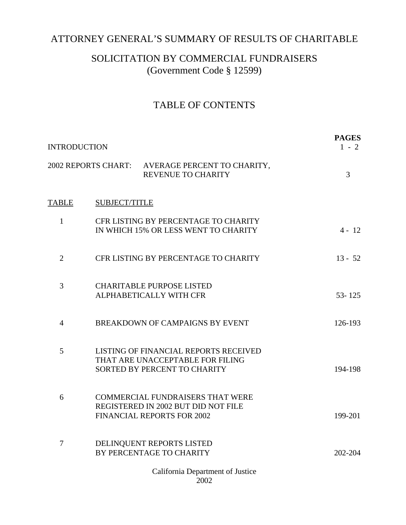#### ATTORNEY GENERAL'S SUMMARY OF RESULTS OF CHARITABLE

#### SOLICITATION BY COMMERCIAL FUNDRAISERS (Government Code § 12599)

#### TABLE OF CONTENTS

| <b>INTRODUCTION</b> |  |                                                                                                                     | <b>PAGES</b><br>$1 - 2$ |  |
|---------------------|--|---------------------------------------------------------------------------------------------------------------------|-------------------------|--|
|                     |  | 2002 REPORTS CHART: AVERAGE PERCENT TO CHARITY,<br><b>REVENUE TO CHARITY</b>                                        | 3                       |  |
| <b>TABLE</b>        |  | <b>SUBJECT/TITLE</b>                                                                                                |                         |  |
| 1                   |  | CFR LISTING BY PERCENTAGE TO CHARITY<br>IN WHICH 15% OR LESS WENT TO CHARITY                                        | $4 - 12$                |  |
| $\overline{2}$      |  | CFR LISTING BY PERCENTAGE TO CHARITY                                                                                | $13 - 52$               |  |
| 3                   |  | <b>CHARITABLE PURPOSE LISTED</b><br>ALPHABETICALLY WITH CFR                                                         | $53 - 125$              |  |
| $\overline{4}$      |  | BREAKDOWN OF CAMPAIGNS BY EVENT                                                                                     | 126-193                 |  |
| 5                   |  | LISTING OF FINANCIAL REPORTS RECEIVED<br>THAT ARE UNACCEPTABLE FOR FILING<br>SORTED BY PERCENT TO CHARITY           | 194-198                 |  |
| 6                   |  | <b>COMMERCIAL FUNDRAISERS THAT WERE</b><br>REGISTERED IN 2002 BUT DID NOT FILE<br><b>FINANCIAL REPORTS FOR 2002</b> | 199-201                 |  |
| 7                   |  | DELINQUENT REPORTS LISTED<br>BY PERCENTAGE TO CHARITY                                                               | 202-204                 |  |
|                     |  | California Department of Justice<br>2002                                                                            |                         |  |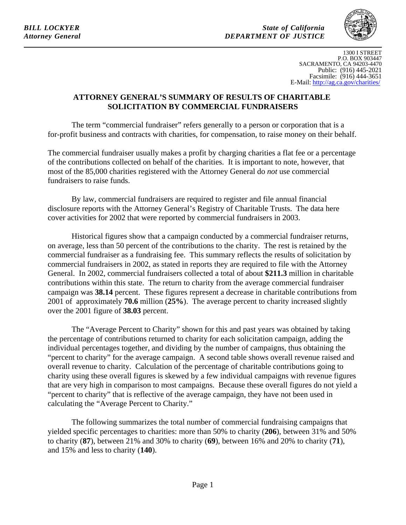<span id="page-2-0"></span>*BILL LOCKYER State of California Attorney General DEPARTMENT OF JUSTICE* 



1300 I STREET P.O. BOX 903447 SACRAMENTO, CA 94203-4470 Public: (916) 445-2021 Facsimile: (916) 444-3651 E-Mail: http://ag.ca.gov/charities/

#### **ATTORNEY GENERAL'S SUMMARY OF RESULTS OF CHARITABLE SOLICITATION BY COMMERCIAL FUNDRAISERS**

The term "commercial fundraiser" refers generally to a person or corporation that is a for-profit business and contracts with charities, for compensation, to raise money on their behalf.

The commercial fundraiser usually makes a profit by charging charities a flat fee or a percentage of the contributions collected on behalf of the charities. It is important to note, however, that most of the 85,000 charities registered with the Attorney General do *not* use commercial fundraisers to raise funds.

By law, commercial fundraisers are required to register and file annual financial disclosure reports with the Attorney General's Registry of Charitable Trusts. The data here cover activities for 2002 that were reported by commercial fundraisers in 2003.

Historical figures show that a campaign conducted by a commercial fundraiser returns, on average, less than 50 percent of the contributions to the charity. The rest is retained by the commercial fundraiser as a fundraising fee. This summary reflects the results of solicitation by commercial fundraisers in 2002, as stated in reports they are required to file with the Attorney General. In 2002, commercial fundraisers collected a total of about **\$211.3** million in charitable contributions within this state. The return to charity from the average commercial fundraiser campaign was **38.14** percent. These figures represent a decrease in charitable contributions from 2001 of approximately **70.6** million (**25%**). The average percent to charity increased slightly over the 2001 figure of **38.03** percent.

The "Average Percent to Charity" shown for this and past years was obtained by taking the percentage of contributions returned to charity for each solicitation campaign, adding the individual percentages together, and dividing by the number of campaigns, thus obtaining the "percent to charity" for the average campaign. A second table shows overall revenue raised and overall revenue to charity. Calculation of the percentage of charitable contributions going to charity using these overall figures is skewed by a few individual campaigns with revenue figures that are very high in comparison to most campaigns. Because these overall figures do not yield a "percent to charity" that is reflective of the average campaign, they have not been used in calculating the "Average Percent to Charity."

The following summarizes the total number of commercial fundraising campaigns that yielded specific percentages to charities: more than 50% to charity (**206**), between 31% and 50% to charity (**87**), between 21% and 30% to charity (**69**), between 16% and 20% to charity (**71**), and 15% and less to charity (**140**).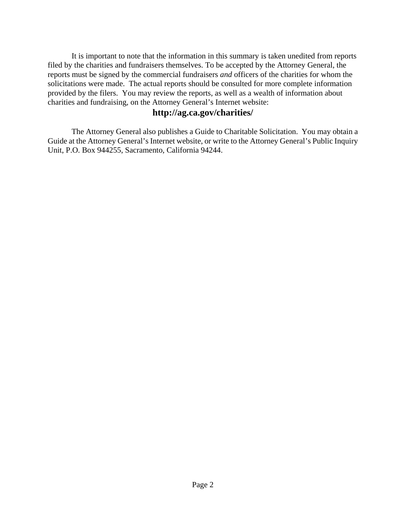It is important to note that the information in this summary is taken unedited from reports filed by the charities and fundraisers themselves. To be accepted by the Attorney General, the reports must be signed by the commercial fundraisers *and* officers of the charities for whom the solicitations were made. The actual reports should be consulted for more complete information provided by the filers. You may review the reports, as well as a wealth of information about charities and fundraising, on the Attorney General's Internet website:

#### **http://ag.ca.gov/charities/**

The Attorney General also publishes a Guide to Charitable Solicitation. You may obtain a Guide at the Attorney General's Internet website, or write to the Attorney General's Public Inquiry Unit, P.O. Box 944255, Sacramento, California 94244.